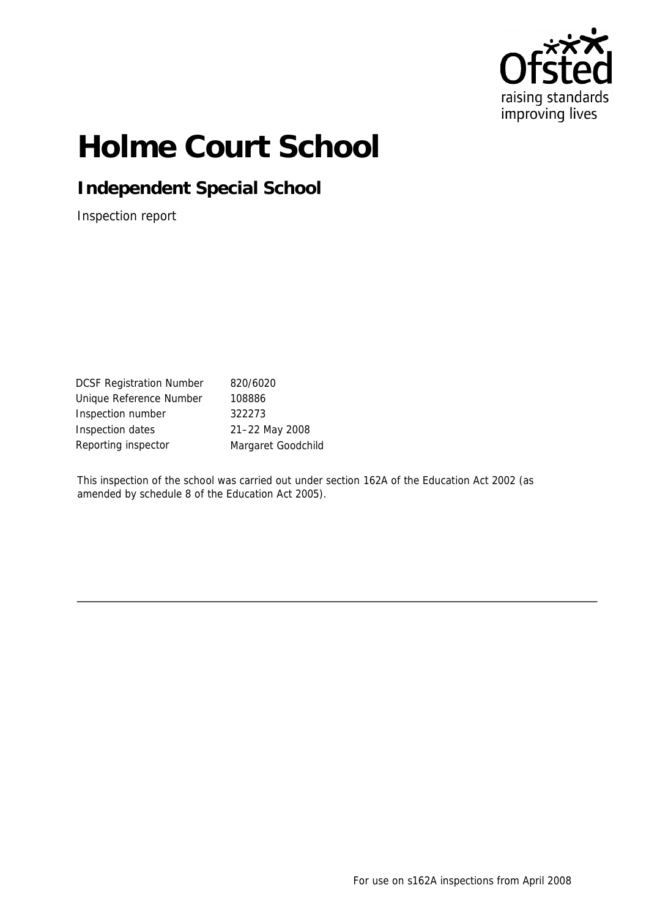

# **Holme Court School**

**Independent Special School**

Inspection report

DCSF Registration Number 820/6020 Unique Reference Number 108886 Inspection number 322273 Inspection dates 21–22 May 2008 Reporting inspector Margaret Goodchild

This inspection of the school was carried out under section 162A of the Education Act 2002 (as amended by schedule 8 of the Education Act 2005).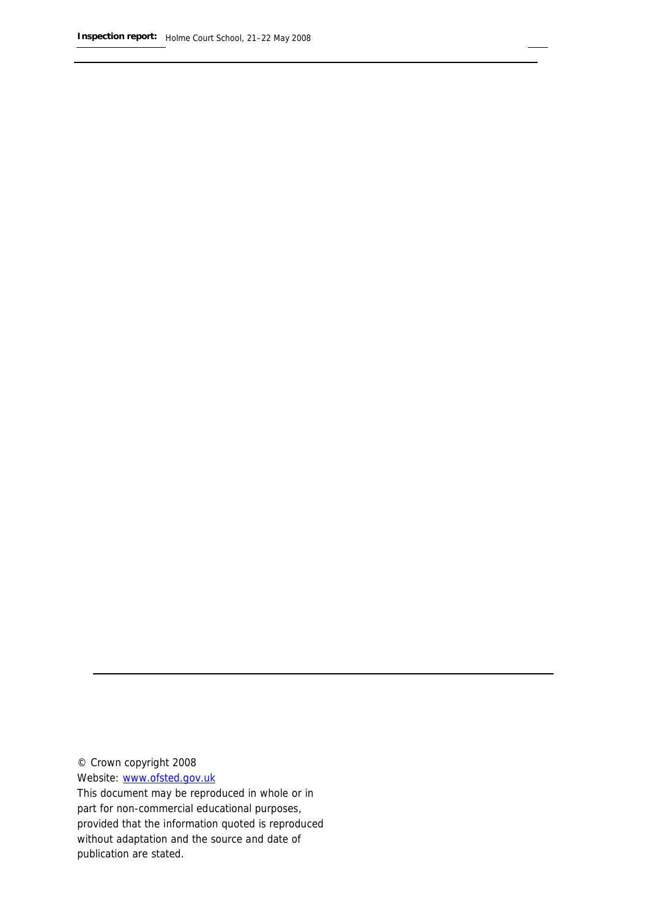© Crown copyright 2008

Website: www.ofsted.gov.uk

This document may be reproduced in whole or in part for non-commercial educational purposes, provided that the information quoted is reproduced without adaptation and the source and date of publication are stated.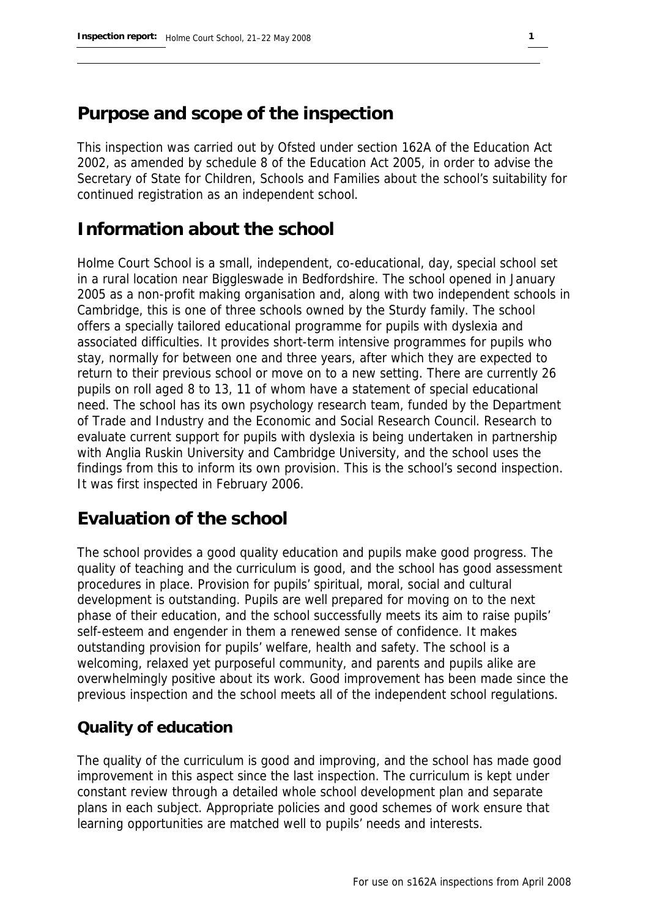## **Purpose and scope of the inspection**

This inspection was carried out by Ofsted under section 162A of the Education Act 2002, as amended by schedule 8 of the Education Act 2005, in order to advise the Secretary of State for Children, Schools and Families about the school's suitability for continued registration as an independent school.

## **Information about the school**

Holme Court School is a small, independent, co-educational, day, special school set in a rural location near Biggleswade in Bedfordshire. The school opened in January 2005 as a non-profit making organisation and, along with two independent schools in Cambridge, this is one of three schools owned by the Sturdy family. The school offers a specially tailored educational programme for pupils with dyslexia and associated difficulties. It provides short-term intensive programmes for pupils who stay, normally for between one and three years, after which they are expected to return to their previous school or move on to a new setting. There are currently 26 pupils on roll aged 8 to 13, 11 of whom have a statement of special educational need. The school has its own psychology research team, funded by the Department of Trade and Industry and the Economic and Social Research Council. Research to evaluate current support for pupils with dyslexia is being undertaken in partnership with Anglia Ruskin University and Cambridge University, and the school uses the findings from this to inform its own provision. This is the school's second inspection. It was first inspected in February 2006.

## **Evaluation of the school**

The school provides a good quality education and pupils make good progress. The quality of teaching and the curriculum is good, and the school has good assessment procedures in place. Provision for pupils' spiritual, moral, social and cultural development is outstanding. Pupils are well prepared for moving on to the next phase of their education, and the school successfully meets its aim to raise pupils' self-esteem and engender in them a renewed sense of confidence. It makes outstanding provision for pupils' welfare, health and safety. The school is a welcoming, relaxed yet purposeful community, and parents and pupils alike are overwhelmingly positive about its work. Good improvement has been made since the previous inspection and the school meets all of the independent school regulations.

#### **Quality of education**

The quality of the curriculum is good and improving, and the school has made good improvement in this aspect since the last inspection. The curriculum is kept under constant review through a detailed whole school development plan and separate plans in each subject. Appropriate policies and good schemes of work ensure that learning opportunities are matched well to pupils' needs and interests.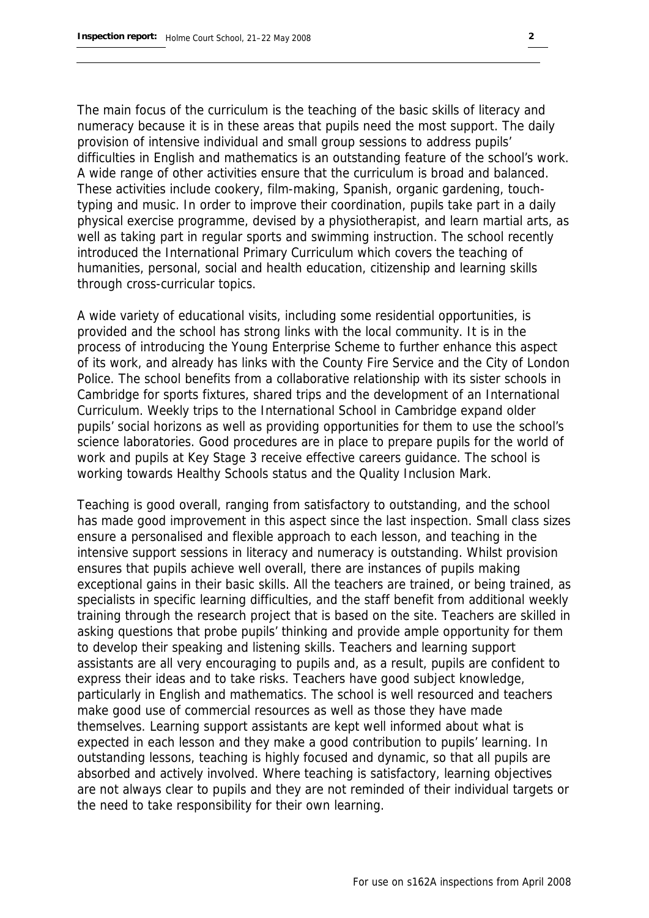The main focus of the curriculum is the teaching of the basic skills of literacy and numeracy because it is in these areas that pupils need the most support. The daily provision of intensive individual and small group sessions to address pupils' difficulties in English and mathematics is an outstanding feature of the school's work. A wide range of other activities ensure that the curriculum is broad and balanced. These activities include cookery, film-making, Spanish, organic gardening, touchtyping and music. In order to improve their coordination, pupils take part in a daily physical exercise programme, devised by a physiotherapist, and learn martial arts, as well as taking part in regular sports and swimming instruction. The school recently introduced the International Primary Curriculum which covers the teaching of humanities, personal, social and health education, citizenship and learning skills through cross-curricular topics.

A wide variety of educational visits, including some residential opportunities, is provided and the school has strong links with the local community. It is in the process of introducing the Young Enterprise Scheme to further enhance this aspect of its work, and already has links with the County Fire Service and the City of London Police. The school benefits from a collaborative relationship with its sister schools in Cambridge for sports fixtures, shared trips and the development of an International Curriculum. Weekly trips to the International School in Cambridge expand older pupils' social horizons as well as providing opportunities for them to use the school's science laboratories. Good procedures are in place to prepare pupils for the world of work and pupils at Key Stage 3 receive effective careers guidance. The school is working towards Healthy Schools status and the Quality Inclusion Mark.

Teaching is good overall, ranging from satisfactory to outstanding, and the school has made good improvement in this aspect since the last inspection. Small class sizes ensure a personalised and flexible approach to each lesson, and teaching in the intensive support sessions in literacy and numeracy is outstanding. Whilst provision ensures that pupils achieve well overall, there are instances of pupils making exceptional gains in their basic skills. All the teachers are trained, or being trained, as specialists in specific learning difficulties, and the staff benefit from additional weekly training through the research project that is based on the site. Teachers are skilled in asking questions that probe pupils' thinking and provide ample opportunity for them to develop their speaking and listening skills. Teachers and learning support assistants are all very encouraging to pupils and, as a result, pupils are confident to express their ideas and to take risks. Teachers have good subject knowledge, particularly in English and mathematics. The school is well resourced and teachers make good use of commercial resources as well as those they have made themselves. Learning support assistants are kept well informed about what is expected in each lesson and they make a good contribution to pupils' learning. In outstanding lessons, teaching is highly focused and dynamic, so that all pupils are absorbed and actively involved. Where teaching is satisfactory, learning objectives are not always clear to pupils and they are not reminded of their individual targets or the need to take responsibility for their own learning.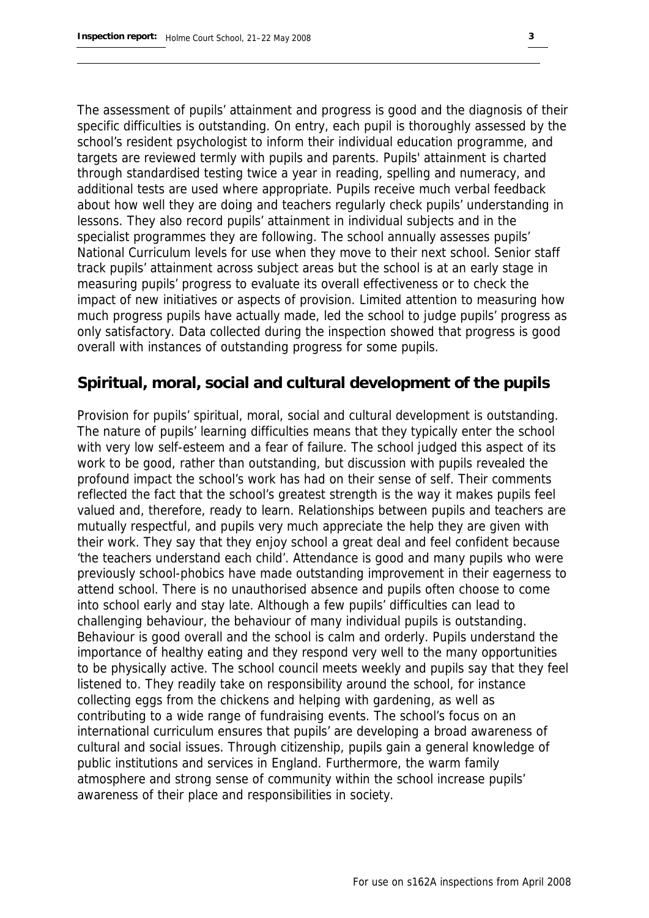The assessment of pupils' attainment and progress is good and the diagnosis of their specific difficulties is outstanding. On entry, each pupil is thoroughly assessed by the school's resident psychologist to inform their individual education programme, and targets are reviewed termly with pupils and parents. Pupils' attainment is charted through standardised testing twice a year in reading, spelling and numeracy, and additional tests are used where appropriate. Pupils receive much verbal feedback about how well they are doing and teachers regularly check pupils' understanding in lessons. They also record pupils' attainment in individual subjects and in the specialist programmes they are following. The school annually assesses pupils' National Curriculum levels for use when they move to their next school. Senior staff track pupils' attainment across subject areas but the school is at an early stage in measuring pupils' progress to evaluate its overall effectiveness or to check the impact of new initiatives or aspects of provision. Limited attention to measuring how much progress pupils have actually made, led the school to judge pupils' progress as only satisfactory. Data collected during the inspection showed that progress is good overall with instances of outstanding progress for some pupils.

#### **Spiritual, moral, social and cultural development of the pupils**

Provision for pupils' spiritual, moral, social and cultural development is outstanding. The nature of pupils' learning difficulties means that they typically enter the school with very low self-esteem and a fear of failure. The school judged this aspect of its work to be good, rather than outstanding, but discussion with pupils revealed the profound impact the school's work has had on their sense of self. Their comments reflected the fact that the school's greatest strength is the way it makes pupils feel valued and, therefore, ready to learn. Relationships between pupils and teachers are mutually respectful, and pupils very much appreciate the help they are given with their work. They say that they enjoy school a great deal and feel confident because 'the teachers understand each child'. Attendance is good and many pupils who were previously school-phobics have made outstanding improvement in their eagerness to attend school. There is no unauthorised absence and pupils often choose to come into school early and stay late. Although a few pupils' difficulties can lead to challenging behaviour, the behaviour of many individual pupils is outstanding. Behaviour is good overall and the school is calm and orderly. Pupils understand the importance of healthy eating and they respond very well to the many opportunities to be physically active. The school council meets weekly and pupils say that they feel listened to. They readily take on responsibility around the school, for instance collecting eggs from the chickens and helping with gardening, as well as contributing to a wide range of fundraising events. The school's focus on an international curriculum ensures that pupils' are developing a broad awareness of cultural and social issues. Through citizenship, pupils gain a general knowledge of public institutions and services in England. Furthermore, the warm family atmosphere and strong sense of community within the school increase pupils' awareness of their place and responsibilities in society.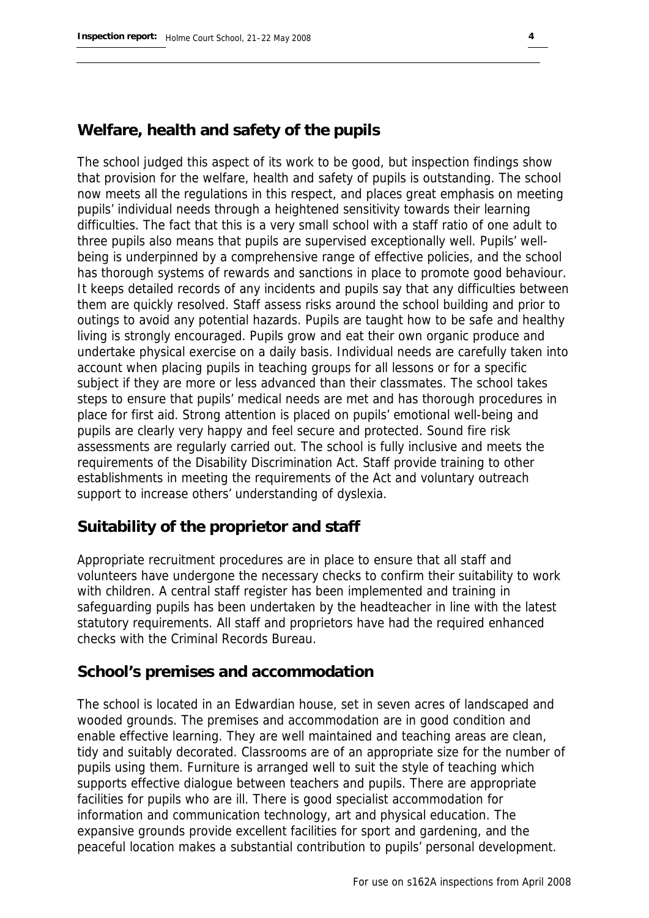#### **Welfare, health and safety of the pupils**

The school judged this aspect of its work to be good, but inspection findings show that provision for the welfare, health and safety of pupils is outstanding. The school now meets all the regulations in this respect, and places great emphasis on meeting pupils' individual needs through a heightened sensitivity towards their learning difficulties. The fact that this is a very small school with a staff ratio of one adult to three pupils also means that pupils are supervised exceptionally well. Pupils' wellbeing is underpinned by a comprehensive range of effective policies, and the school has thorough systems of rewards and sanctions in place to promote good behaviour. It keeps detailed records of any incidents and pupils say that any difficulties between them are quickly resolved. Staff assess risks around the school building and prior to outings to avoid any potential hazards. Pupils are taught how to be safe and healthy living is strongly encouraged. Pupils grow and eat their own organic produce and undertake physical exercise on a daily basis. Individual needs are carefully taken into account when placing pupils in teaching groups for all lessons or for a specific subject if they are more or less advanced than their classmates. The school takes steps to ensure that pupils' medical needs are met and has thorough procedures in place for first aid. Strong attention is placed on pupils' emotional well-being and pupils are clearly very happy and feel secure and protected. Sound fire risk assessments are regularly carried out. The school is fully inclusive and meets the requirements of the Disability Discrimination Act. Staff provide training to other establishments in meeting the requirements of the Act and voluntary outreach support to increase others' understanding of dyslexia.

#### **Suitability of the proprietor and staff**

Appropriate recruitment procedures are in place to ensure that all staff and volunteers have undergone the necessary checks to confirm their suitability to work with children. A central staff register has been implemented and training in safeguarding pupils has been undertaken by the headteacher in line with the latest statutory requirements. All staff and proprietors have had the required enhanced checks with the Criminal Records Bureau.

#### **School's premises and accommodation**

The school is located in an Edwardian house, set in seven acres of landscaped and wooded grounds. The premises and accommodation are in good condition and enable effective learning. They are well maintained and teaching areas are clean, tidy and suitably decorated. Classrooms are of an appropriate size for the number of pupils using them. Furniture is arranged well to suit the style of teaching which supports effective dialogue between teachers and pupils. There are appropriate facilities for pupils who are ill. There is good specialist accommodation for information and communication technology, art and physical education. The expansive grounds provide excellent facilities for sport and gardening, and the peaceful location makes a substantial contribution to pupils' personal development.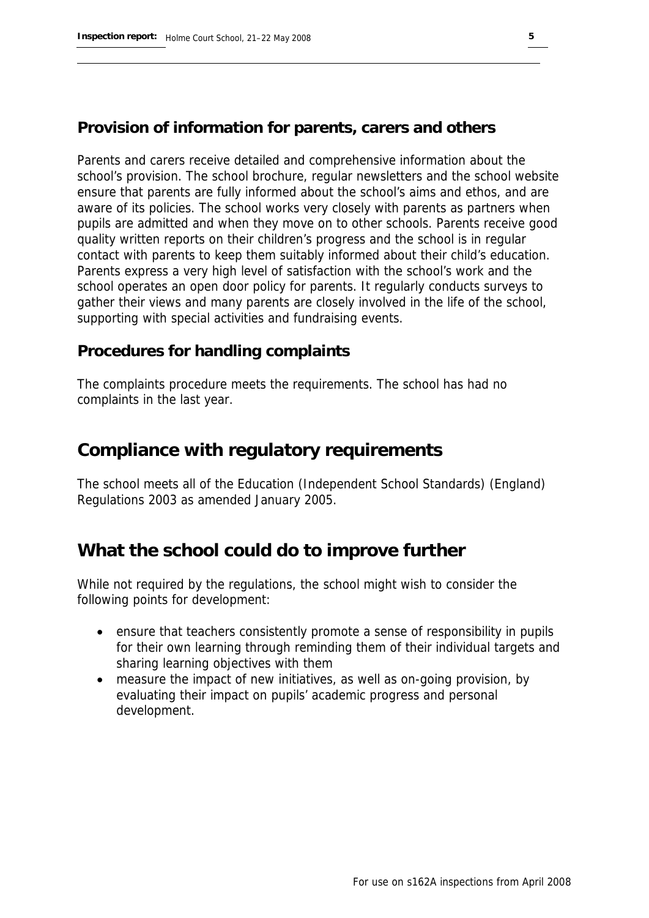#### **Provision of information for parents, carers and others**

Parents and carers receive detailed and comprehensive information about the school's provision. The school brochure, regular newsletters and the school website ensure that parents are fully informed about the school's aims and ethos, and are aware of its policies. The school works very closely with parents as partners when pupils are admitted and when they move on to other schools. Parents receive good quality written reports on their children's progress and the school is in regular contact with parents to keep them suitably informed about their child's education. Parents express a very high level of satisfaction with the school's work and the school operates an open door policy for parents. It regularly conducts surveys to gather their views and many parents are closely involved in the life of the school, supporting with special activities and fundraising events.

#### **Procedures for handling complaints**

The complaints procedure meets the requirements. The school has had no complaints in the last year.

### **Compliance with regulatory requirements**

The school meets all of the Education (Independent School Standards) (England) Regulations 2003 as amended January 2005.

## **What the school could do to improve further**

While not required by the regulations, the school might wish to consider the following points for development:

- ensure that teachers consistently promote a sense of responsibility in pupils for their own learning through reminding them of their individual targets and sharing learning objectives with them
- measure the impact of new initiatives, as well as on-going provision, by evaluating their impact on pupils' academic progress and personal development.